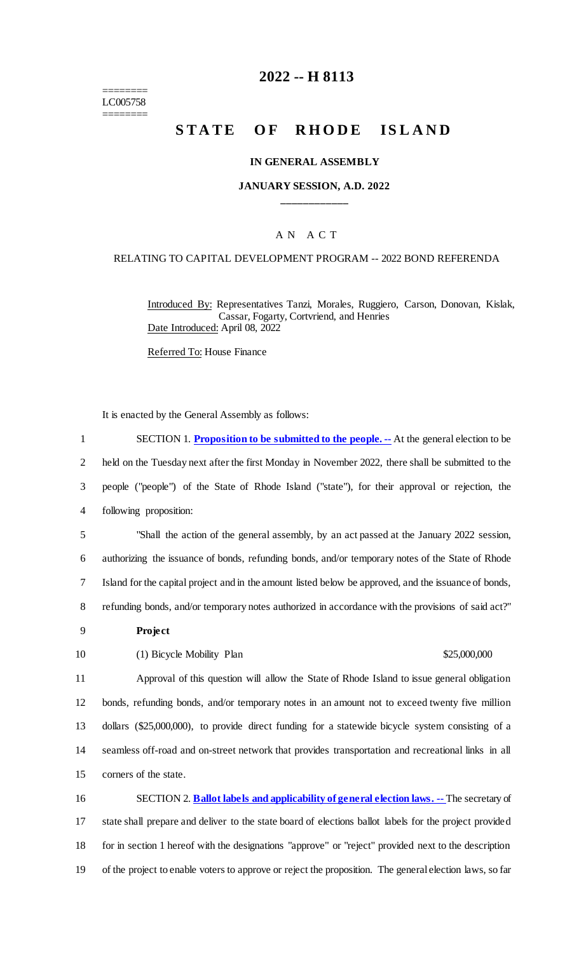======== LC005758 ========

### **2022 -- H 8113**

# **STATE OF RHODE ISLAND**

#### **IN GENERAL ASSEMBLY**

#### **JANUARY SESSION, A.D. 2022 \_\_\_\_\_\_\_\_\_\_\_\_**

#### A N A C T

#### RELATING TO CAPITAL DEVELOPMENT PROGRAM -- 2022 BOND REFERENDA

Introduced By: Representatives Tanzi, Morales, Ruggiero, Carson, Donovan, Kislak, Cassar, Fogarty, Cortvriend, and Henries Date Introduced: April 08, 2022

Referred To: House Finance

It is enacted by the General Assembly as follows:

 SECTION 1. **Proposition to be submitted to the people. --** At the general election to be held on the Tuesday next after the first Monday in November 2022, there shall be submitted to the people ("people") of the State of Rhode Island ("state"), for their approval or rejection, the following proposition: "Shall the action of the general assembly, by an act passed at the January 2022 session, authorizing the issuance of bonds, refunding bonds, and/or temporary notes of the State of Rhode Island for the capital project and in the amount listed below be approved, and the issuance of bonds, refunding bonds, and/or temporary notes authorized in accordance with the provisions of said act?" 9 **Project** 10 (1) Bicycle Mobility Plan \$25,000,000 Approval of this question will allow the State of Rhode Island to issue general obligation bonds, refunding bonds, and/or temporary notes in an amount not to exceed twenty five million dollars (\$25,000,000), to provide direct funding for a statewide bicycle system consisting of a seamless off-road and on-street network that provides transportation and recreational links in all corners of the state. SECTION 2. **Ballot labels and applicability of general election laws. --** The secretary of state shall prepare and deliver to the state board of elections ballot labels for the project provided for in section 1 hereof with the designations "approve" or "reject" provided next to the description

19 of the project to enable voters to approve or reject the proposition. The general election laws, so far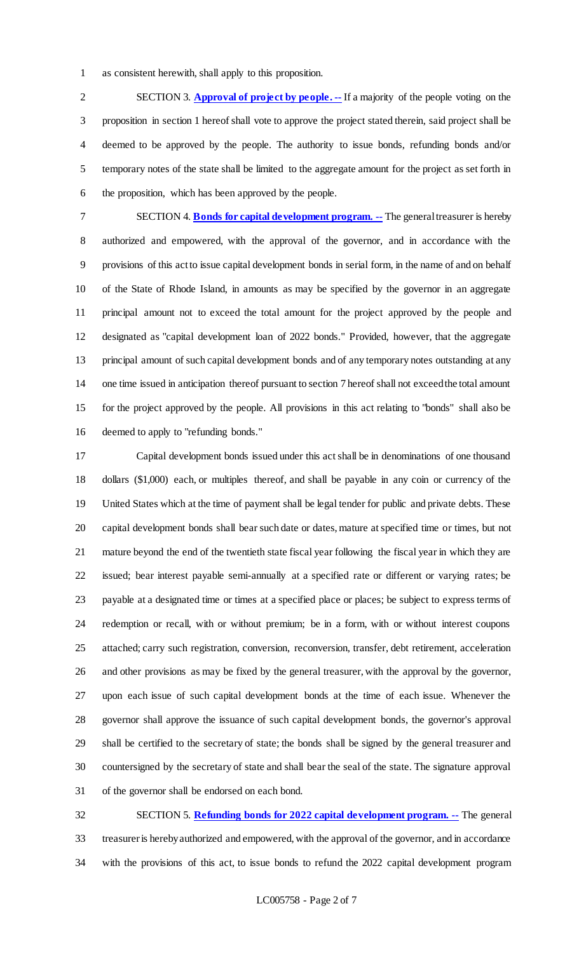as consistent herewith, shall apply to this proposition.

 SECTION 3. **Approval of project by people. --** If a majority of the people voting on the proposition in section 1 hereof shall vote to approve the project stated therein, said project shall be deemed to be approved by the people. The authority to issue bonds, refunding bonds and/or temporary notes of the state shall be limited to the aggregate amount for the project as set forth in the proposition, which has been approved by the people.

 SECTION 4. **Bonds for capital development program. --** The general treasurer is hereby authorized and empowered, with the approval of the governor, and in accordance with the provisions of this act to issue capital development bonds in serial form, in the name of and on behalf of the State of Rhode Island, in amounts as may be specified by the governor in an aggregate principal amount not to exceed the total amount for the project approved by the people and designated as "capital development loan of 2022 bonds." Provided, however, that the aggregate principal amount of such capital development bonds and of any temporary notes outstanding at any one time issued in anticipation thereof pursuant to section 7 hereof shall not exceed the total amount for the project approved by the people. All provisions in this act relating to "bonds" shall also be deemed to apply to "refunding bonds."

 Capital development bonds issued under this act shall be in denominations of one thousand dollars (\$1,000) each, or multiples thereof, and shall be payable in any coin or currency of the United States which at the time of payment shall be legal tender for public and private debts. These capital development bonds shall bear such date or dates, mature at specified time or times, but not mature beyond the end of the twentieth state fiscal year following the fiscal year in which they are issued; bear interest payable semi-annually at a specified rate or different or varying rates; be payable at a designated time or times at a specified place or places; be subject to express terms of redemption or recall, with or without premium; be in a form, with or without interest coupons attached; carry such registration, conversion, reconversion, transfer, debt retirement, acceleration and other provisions as may be fixed by the general treasurer, with the approval by the governor, upon each issue of such capital development bonds at the time of each issue. Whenever the governor shall approve the issuance of such capital development bonds, the governor's approval shall be certified to the secretary of state; the bonds shall be signed by the general treasurer and countersigned by the secretary of state and shall bear the seal of the state. The signature approval of the governor shall be endorsed on each bond.

 SECTION 5. **Refunding bonds for 2022 capital development program. --** The general treasurer is hereby authorized and empowered, with the approval of the governor, and in accordance with the provisions of this act, to issue bonds to refund the 2022 capital development program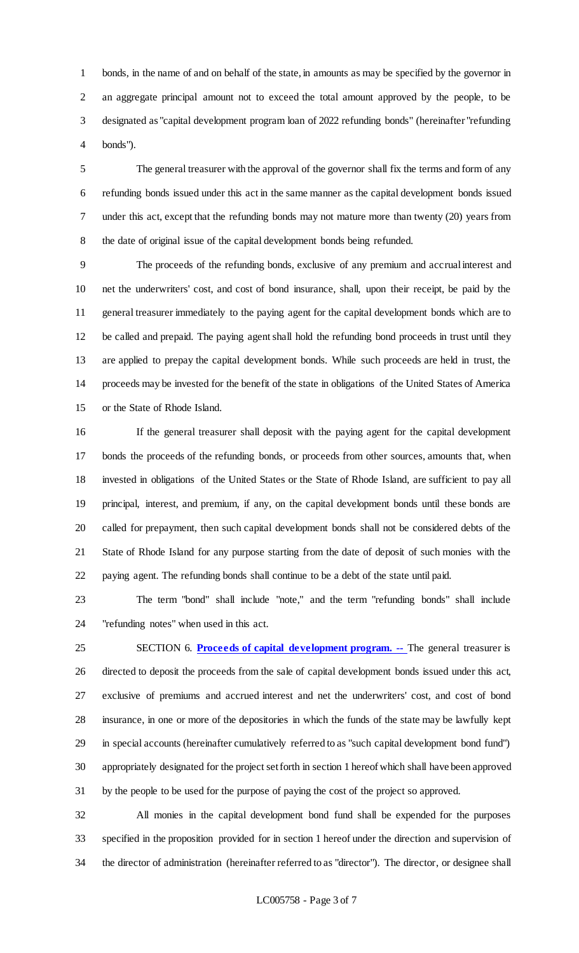bonds, in the name of and on behalf of the state, in amounts as may be specified by the governor in an aggregate principal amount not to exceed the total amount approved by the people, to be designated as "capital development program loan of 2022 refunding bonds" (hereinafter "refunding bonds").

 The general treasurer with the approval of the governor shall fix the terms and form of any refunding bonds issued under this act in the same manner as the capital development bonds issued under this act, except that the refunding bonds may not mature more than twenty (20) years from the date of original issue of the capital development bonds being refunded.

 The proceeds of the refunding bonds, exclusive of any premium and accrual interest and net the underwriters' cost, and cost of bond insurance, shall, upon their receipt, be paid by the general treasurer immediately to the paying agent for the capital development bonds which are to be called and prepaid. The paying agent shall hold the refunding bond proceeds in trust until they are applied to prepay the capital development bonds. While such proceeds are held in trust, the proceeds may be invested for the benefit of the state in obligations of the United States of America or the State of Rhode Island.

 If the general treasurer shall deposit with the paying agent for the capital development bonds the proceeds of the refunding bonds, or proceeds from other sources, amounts that, when invested in obligations of the United States or the State of Rhode Island, are sufficient to pay all principal, interest, and premium, if any, on the capital development bonds until these bonds are called for prepayment, then such capital development bonds shall not be considered debts of the State of Rhode Island for any purpose starting from the date of deposit of such monies with the paying agent. The refunding bonds shall continue to be a debt of the state until paid.

 The term "bond" shall include "note," and the term "refunding bonds" shall include "refunding notes" when used in this act.

 SECTION 6. **Proceeds of capital development program. --** The general treasurer is directed to deposit the proceeds from the sale of capital development bonds issued under this act, exclusive of premiums and accrued interest and net the underwriters' cost, and cost of bond insurance, in one or more of the depositories in which the funds of the state may be lawfully kept in special accounts (hereinafter cumulatively referred to as "such capital development bond fund") 30 appropriately designated for the project set forth in section 1 hereof which shall have been approved by the people to be used for the purpose of paying the cost of the project so approved.

 All monies in the capital development bond fund shall be expended for the purposes specified in the proposition provided for in section 1 hereof under the direction and supervision of the director of administration (hereinafter referred to as "director"). The director, or designee shall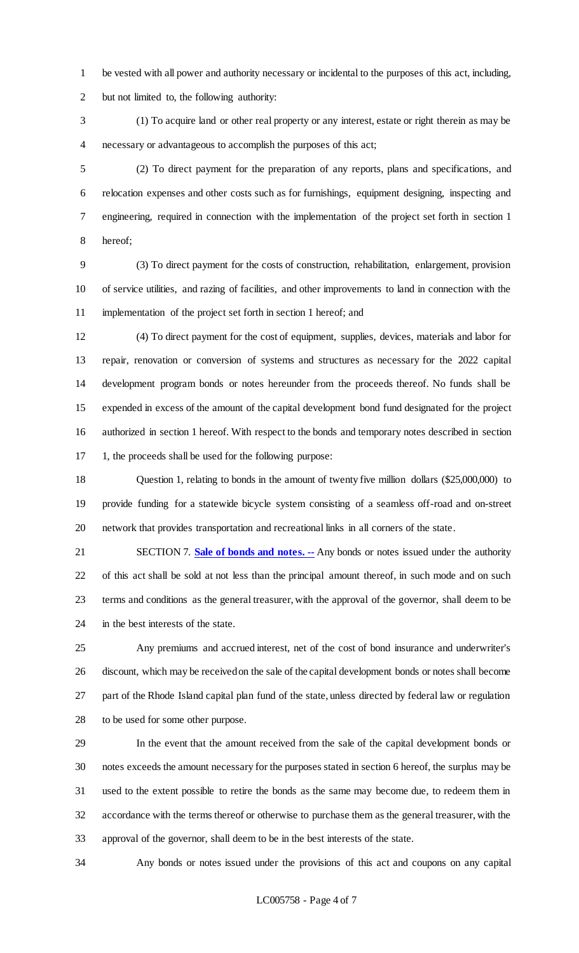be vested with all power and authority necessary or incidental to the purposes of this act, including, but not limited to, the following authority:

 (1) To acquire land or other real property or any interest, estate or right therein as may be necessary or advantageous to accomplish the purposes of this act;

 (2) To direct payment for the preparation of any reports, plans and specifications, and relocation expenses and other costs such as for furnishings, equipment designing, inspecting and engineering, required in connection with the implementation of the project set forth in section 1 hereof;

 (3) To direct payment for the costs of construction, rehabilitation, enlargement, provision of service utilities, and razing of facilities, and other improvements to land in connection with the implementation of the project set forth in section 1 hereof; and

 (4) To direct payment for the cost of equipment, supplies, devices, materials and labor for repair, renovation or conversion of systems and structures as necessary for the 2022 capital development program bonds or notes hereunder from the proceeds thereof. No funds shall be expended in excess of the amount of the capital development bond fund designated for the project authorized in section 1 hereof. With respect to the bonds and temporary notes described in section 1, the proceeds shall be used for the following purpose:

18 Question 1, relating to bonds in the amount of twenty five million dollars (\$25,000,000) to provide funding for a statewide bicycle system consisting of a seamless off-road and on-street network that provides transportation and recreational links in all corners of the state.

21 SECTION 7. **Sale of bonds and notes.** -- Any bonds or notes issued under the authority of this act shall be sold at not less than the principal amount thereof, in such mode and on such terms and conditions as the general treasurer, with the approval of the governor, shall deem to be in the best interests of the state.

 Any premiums and accrued interest, net of the cost of bond insurance and underwriter's discount, which may be received on the sale of the capital development bonds or notes shall become part of the Rhode Island capital plan fund of the state, unless directed by federal law or regulation to be used for some other purpose.

 In the event that the amount received from the sale of the capital development bonds or notes exceeds the amount necessary for the purposes stated in section 6 hereof, the surplus may be used to the extent possible to retire the bonds as the same may become due, to redeem them in accordance with the terms thereof or otherwise to purchase them as the general treasurer, with the approval of the governor, shall deem to be in the best interests of the state.

Any bonds or notes issued under the provisions of this act and coupons on any capital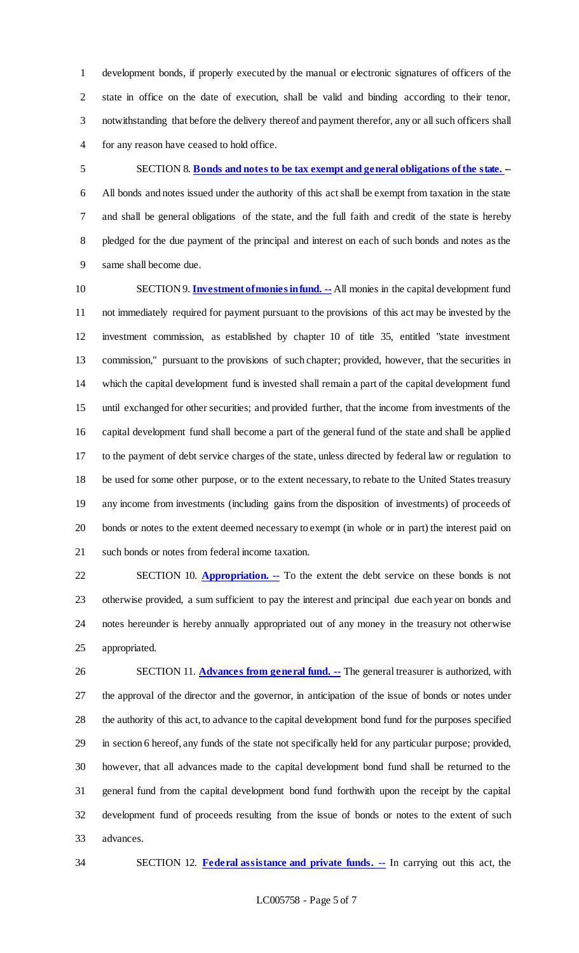development bonds, if properly executed by the manual or electronic signatures of officers of the state in office on the date of execution, shall be valid and binding according to their tenor, notwithstanding that before the delivery thereof and payment therefor, any or all such officers shall for any reason have ceased to hold office.

 SECTION 8. **Bonds and notes to be tax exempt and general obligations of the state. -**- All bonds and notes issued under the authority of this act shall be exempt from taxation in the state and shall be general obligations of the state, and the full faith and credit of the state is hereby pledged for the due payment of the principal and interest on each of such bonds and notes as the same shall become due.

 SECTION 9. **Investment of monies in fund. --** All monies in the capital development fund not immediately required for payment pursuant to the provisions of this act may be invested by the investment commission, as established by chapter 10 of title 35, entitled "state investment commission," pursuant to the provisions of such chapter; provided, however, that the securities in which the capital development fund is invested shall remain a part of the capital development fund until exchanged for other securities; and provided further, that the income from investments of the capital development fund shall become a part of the general fund of the state and shall be applied to the payment of debt service charges of the state, unless directed by federal law or regulation to be used for some other purpose, or to the extent necessary, to rebate to the United States treasury any income from investments (including gains from the disposition of investments) of proceeds of bonds or notes to the extent deemed necessary to exempt (in whole or in part) the interest paid on such bonds or notes from federal income taxation.

 SECTION 10. **Appropriation. --** To the extent the debt service on these bonds is not otherwise provided, a sum sufficient to pay the interest and principal due each year on bonds and notes hereunder is hereby annually appropriated out of any money in the treasury not otherwise appropriated.

 SECTION 11. **Advances from general fund. --** The general treasurer is authorized, with the approval of the director and the governor, in anticipation of the issue of bonds or notes under the authority of this act, to advance to the capital development bond fund for the purposes specified in section 6 hereof, any funds of the state not specifically held for any particular purpose; provided, however, that all advances made to the capital development bond fund shall be returned to the general fund from the capital development bond fund forthwith upon the receipt by the capital development fund of proceeds resulting from the issue of bonds or notes to the extent of such advances.

SECTION 12. **Federal assistance and private funds. --** In carrying out this act, the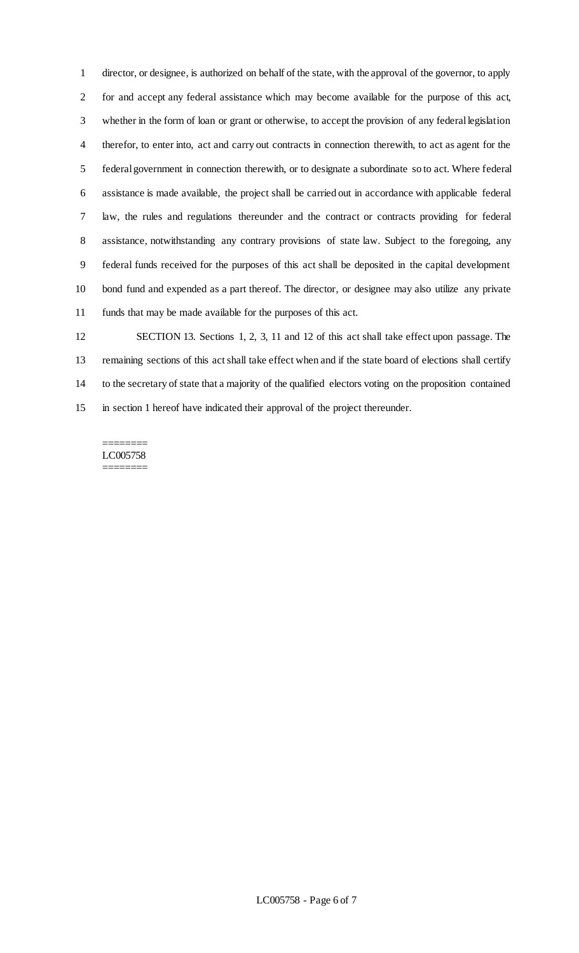director, or designee, is authorized on behalf of the state, with the approval of the governor, to apply for and accept any federal assistance which may become available for the purpose of this act, whether in the form of loan or grant or otherwise, to accept the provision of any federal legislation therefor, to enter into, act and carry out contracts in connection therewith, to act as agent for the federal government in connection therewith, or to designate a subordinate so to act. Where federal assistance is made available, the project shall be carried out in accordance with applicable federal law, the rules and regulations thereunder and the contract or contracts providing for federal 8 assistance, notwithstanding any contrary provisions of state law. Subject to the foregoing, any federal funds received for the purposes of this act shall be deposited in the capital development bond fund and expended as a part thereof. The director, or designee may also utilize any private funds that may be made available for the purposes of this act.

 SECTION 13. Sections 1, 2, 3, 11 and 12 of this act shall take effect upon passage. The remaining sections of this act shall take effect when and if the state board of elections shall certify to the secretary of state that a majority of the qualified electors voting on the proposition contained in section 1 hereof have indicated their approval of the project thereunder.

======== LC005758 ========